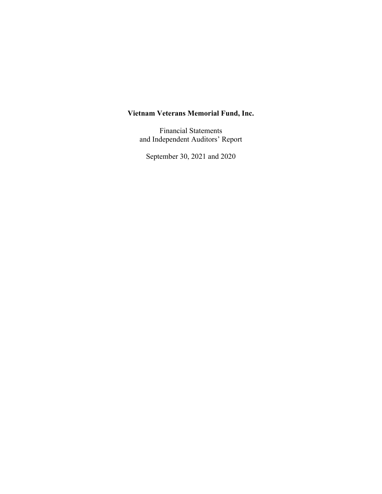Financial Statements and Independent Auditors' Report

September 30, 2021 and 2020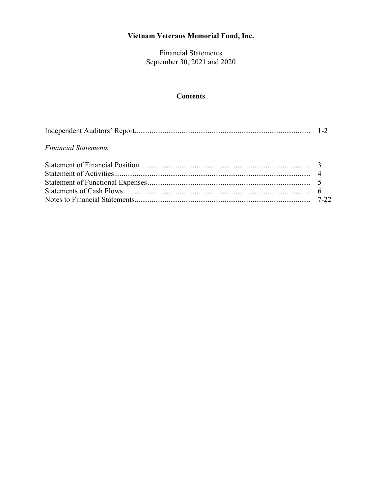Financial Statements September 30, 2021 and 2020

# **Contents**

| <b>Financial Statements</b> |  |
|-----------------------------|--|
|                             |  |
|                             |  |
|                             |  |
|                             |  |
|                             |  |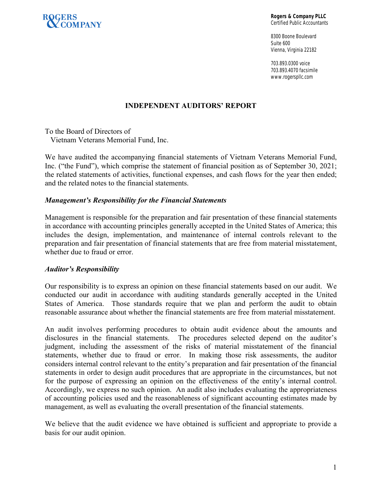

**Rogers & Company PLLC**  Certified Public Accountants

8300 Boone Boulevard Suite 600 Vienna, Virginia 22182

703.893.0300 voice 703.893.4070 facsimile www.rogerspllc.com

# **INDEPENDENT AUDITORS' REPORT**

To the Board of Directors of Vietnam Veterans Memorial Fund, Inc.

We have audited the accompanying financial statements of Vietnam Veterans Memorial Fund, Inc. ("the Fund"), which comprise the statement of financial position as of September 30, 2021; the related statements of activities, functional expenses, and cash flows for the year then ended; and the related notes to the financial statements.

#### *Management's Responsibility for the Financial Statements*

Management is responsible for the preparation and fair presentation of these financial statements in accordance with accounting principles generally accepted in the United States of America; this includes the design, implementation, and maintenance of internal controls relevant to the preparation and fair presentation of financial statements that are free from material misstatement, whether due to fraud or error.

#### *Auditor's Responsibility*

Our responsibility is to express an opinion on these financial statements based on our audit. We conducted our audit in accordance with auditing standards generally accepted in the United States of America. Those standards require that we plan and perform the audit to obtain reasonable assurance about whether the financial statements are free from material misstatement.

An audit involves performing procedures to obtain audit evidence about the amounts and disclosures in the financial statements. The procedures selected depend on the auditor's judgment, including the assessment of the risks of material misstatement of the financial statements, whether due to fraud or error. In making those risk assessments, the auditor considers internal control relevant to the entity's preparation and fair presentation of the financial statements in order to design audit procedures that are appropriate in the circumstances, but not for the purpose of expressing an opinion on the effectiveness of the entity's internal control. Accordingly, we express no such opinion. An audit also includes evaluating the appropriateness of accounting policies used and the reasonableness of significant accounting estimates made by management, as well as evaluating the overall presentation of the financial statements.

We believe that the audit evidence we have obtained is sufficient and appropriate to provide a basis for our audit opinion.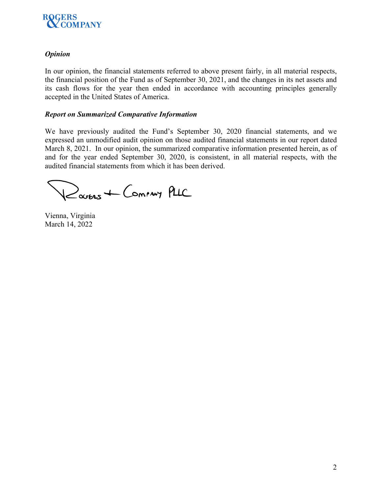

# *Opinion*

In our opinion, the financial statements referred to above present fairly, in all material respects, the financial position of the Fund as of September 30, 2021, and the changes in its net assets and its cash flows for the year then ended in accordance with accounting principles generally accepted in the United States of America.

# *Report on Summarized Comparative Information*

We have previously audited the Fund's September 30, 2020 financial statements, and we expressed an unmodified audit opinion on those audited financial statements in our report dated March 8, 2021. In our opinion, the summarized comparative information presented herein, as of and for the year ended September 30, 2020, is consistent, in all material respects, with the audited financial statements from which it has been derived.

Ravens + Coming PLIC

Vienna, Virginia March 14, 2022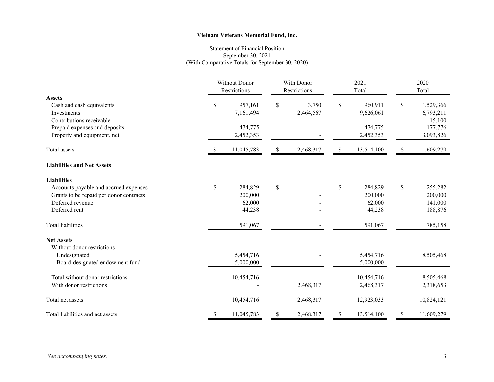#### Statement of Financial Position September 30, 2021 (With Comparative Totals for September 30, 2020)

|                                         | <b>Without Donor</b><br>Restrictions |            | With Donor<br>Restrictions |           | 2021<br>Total |            | 2020<br>Total |            |
|-----------------------------------------|--------------------------------------|------------|----------------------------|-----------|---------------|------------|---------------|------------|
| <b>Assets</b>                           |                                      |            |                            |           |               |            |               |            |
| Cash and cash equivalents               | \$                                   | 957,161    | \$                         | 3,750     | $\mathbb{S}$  | 960,911    | \$            | 1,529,366  |
| Investments                             |                                      | 7,161,494  |                            | 2,464,567 |               | 9,626,061  |               | 6,793,211  |
| Contributions receivable                |                                      |            |                            |           |               |            |               | 15,100     |
| Prepaid expenses and deposits           |                                      | 474,775    |                            |           |               | 474,775    |               | 177,776    |
| Property and equipment, net             |                                      | 2,452,353  |                            |           |               | 2,452,353  |               | 3,093,826  |
| Total assets                            | S.                                   | 11,045,783 | \$                         | 2,468,317 | \$            | 13,514,100 | \$            | 11,609,279 |
| <b>Liabilities and Net Assets</b>       |                                      |            |                            |           |               |            |               |            |
| <b>Liabilities</b>                      |                                      |            |                            |           |               |            |               |            |
| Accounts payable and accrued expenses   | $\mathbb S$                          | 284,829    | \$                         |           | \$            | 284,829    | \$            | 255,282    |
| Grants to be repaid per donor contracts |                                      | 200,000    |                            |           |               | 200,000    |               | 200,000    |
| Deferred revenue                        |                                      | 62,000     |                            |           |               | 62,000     |               | 141,000    |
| Deferred rent                           |                                      | 44,238     |                            |           |               | 44,238     |               | 188,876    |
| <b>Total liabilities</b>                |                                      | 591,067    |                            |           |               | 591,067    |               | 785,158    |
| <b>Net Assets</b>                       |                                      |            |                            |           |               |            |               |            |
| Without donor restrictions              |                                      |            |                            |           |               |            |               |            |
| Undesignated                            |                                      | 5,454,716  |                            |           |               | 5,454,716  |               | 8,505,468  |
| Board-designated endowment fund         |                                      | 5,000,000  |                            |           |               | 5,000,000  |               |            |
| Total without donor restrictions        |                                      | 10,454,716 |                            |           |               | 10,454,716 |               | 8,505,468  |
| With donor restrictions                 |                                      |            |                            | 2,468,317 |               | 2,468,317  |               | 2,318,653  |
| Total net assets                        |                                      | 10,454,716 |                            | 2,468,317 |               | 12,923,033 |               | 10,824,121 |
| Total liabilities and net assets        | \$                                   | 11,045,783 | \$                         | 2,468,317 | \$            | 13,514,100 | \$            | 11,609,279 |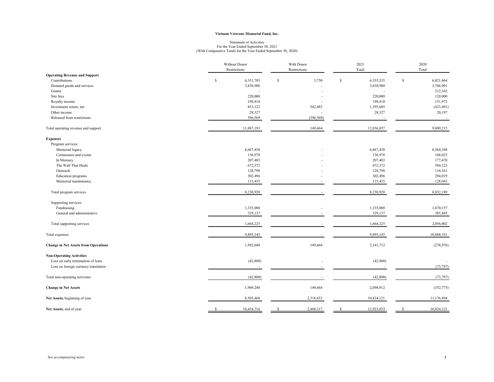# Statement of Activities For the Year Ended September 30, 2021 (With Comparative Totals for the Year Ended September 30, 2020)

|                                             | Without Donor |              | With Donor    |              | 2021        |                          | 2020        |            |
|---------------------------------------------|---------------|--------------|---------------|--------------|-------------|--------------------------|-------------|------------|
|                                             |               | Restrictions |               | Restrictions |             | Total                    |             | Total      |
| <b>Operating Revenue and Support</b>        |               |              |               |              |             |                          |             |            |
| Contributions                               | $\mathbf S$   | 6,351,785    | <sup>\$</sup> | 3,750        | $\mathbf S$ | 6,355,535                | $\mathbf S$ | 6,021,464  |
| Donated goods and services                  |               | 3,838,980    |               |              |             | 3,838,980                |             | 3,706,901  |
| Grants                                      |               |              |               |              |             |                          |             | 212,162    |
| Site fees                                   |               | 220,000      |               |              |             | 220,000                  |             | 120,000    |
| Royalty income                              |               | 198,410      |               |              |             | 198,410                  |             | 151,972    |
| Investment return, net                      |               | 853,122      |               | 542,483      |             | 1,395,605                |             | (423, 481) |
| Other income                                |               | 28,327       |               |              |             | 28,327                   |             | 20,197     |
| Released from restrictions                  |               | 396,569      |               | (396, 569)   |             | $\overline{\phantom{a}}$ |             | $\sim$     |
| Total operating revenue and support         |               | 11,887,193   |               | 149,664      |             | 12,036,857               |             | 9,809,215  |
| <b>Expenses</b>                             |               |              |               |              |             |                          |             |            |
| Program services:                           |               |              |               |              |             |                          |             |            |
| Memorial legacy                             |               | 6,667,438    |               |              |             | 6,667,438                |             | 6,564,348  |
| Ceremonies and events                       |               | 136,978      |               |              |             | 136,978                  |             | 168,025    |
| In Memory                                   |               | 207,403      |               |              |             | 207,403                  |             | 177,470    |
| The Wall That Heals                         |               | 672,372      |               |              |             | 672,372                  |             | 584,123    |
| Outreach                                    |               | 128,798      |               |              |             | 128,798                  |             | 116,161    |
| Education programs                          |               | 302,496      |               |              |             | 302,496                  |             | 294,019    |
| Memorial maintenance                        |               | 115,435      |               |              |             | 115,435                  |             | 128,043    |
| Total program services                      |               | 8,230,920    |               |              |             | 8,230,920                |             | 8,032,189  |
| Supporting services:                        |               |              |               |              |             |                          |             |            |
| Fundraising                                 |               | 1,335,088    |               |              |             | 1,335,088                |             | 1,670,157  |
| General and administrative                  |               | 329,137      |               |              |             | 329,137                  |             | 385,845    |
| Total supporting services                   |               | 1,664,225    |               |              |             | 1,664,225                |             | 2,056,002  |
| Total expenses                              |               | 9,895,145    |               |              |             | 9,895,145                |             | 10,088,191 |
| <b>Change in Net Assets from Operations</b> |               | 1,992,048    |               | 149,664      |             | 2,141,712                |             | (278,976)  |
| <b>Non-Operating Activities</b>             |               |              |               |              |             |                          |             |            |
| Loss on early termination of lease          |               | (42, 800)    |               |              |             | (42, 800)                |             |            |
| Loss on foreign currency translation        |               |              |               |              |             |                          |             | (73, 797)  |
| Total non-operating activities              |               | (42, 800)    |               |              |             | (42, 800)                |             | (73, 797)  |
| <b>Change in Net Assets</b>                 |               | 1,949,248    |               | 149,664      |             | 2,098,912                |             | (352, 773) |
| Net Assets, beginning of year               |               | 8,505,468    |               | 2,318,653    |             | 10,824,121               |             | 11,176,894 |
| Net Assets, end of year                     |               | 10,454,716   |               | 2,468,317    |             | 12,923,033               |             | 10,824,121 |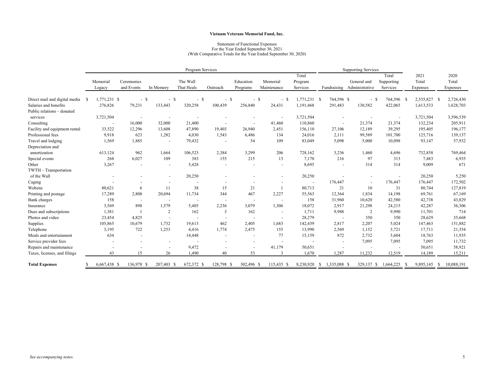#### Statement of Functional Expenses For the Year Ended September 30, 2021 (With Comparative Totals for the Year Ended September 30, 2020)

|                                  | Program Services |                    |                          |        |                          |                        |                |                          | <b>Supporting Services</b> |                              |                    |                                           |                                 |                           |                           |
|----------------------------------|------------------|--------------------|--------------------------|--------|--------------------------|------------------------|----------------|--------------------------|----------------------------|------------------------------|--------------------|-------------------------------------------|---------------------------------|---------------------------|---------------------------|
|                                  |                  | Memorial<br>Legacy | Ceremonies<br>and Events |        | In Memory                | The Wall<br>That Heals | Outreach       | Education<br>Programs    | Memorial<br>Maintenance    | Total<br>Program<br>Services |                    | General and<br>Fundraising Administrative | Total<br>Supporting<br>Services | 2021<br>Total<br>Expenses | 2020<br>Total<br>Expenses |
|                                  |                  |                    |                          |        |                          |                        |                |                          |                            |                              |                    |                                           |                                 |                           |                           |
| Direct mail and digital media \$ |                  | 1,771,231 \$       |                          | $-$ \$ | $-$ \$                   | $-$ \$                 | $-$ \$         | $-$ \$                   | - \$                       | 1,771,231 \$                 | 764,596 \$         | $-$ \$                                    | 764,596 \$                      | 2,535,827                 | 2,726,430<br>- \$         |
| Salaries and benefits            |                  | 276,826            | 79,231                   |        | 133,443                  | 320,258                | 100,439        | 256,840                  | 24,431                     | 1,191,468                    | 291,483            | 130,582                                   | 422,065                         | 1,613,533                 | 1,628,703                 |
| Public relations - donated       |                  |                    |                          |        |                          |                        |                |                          |                            |                              |                    |                                           |                                 |                           |                           |
| services                         |                  | 3,721,504          |                          | $\sim$ |                          |                        |                |                          | $\sim$                     | 3,721,504                    |                    |                                           |                                 | 3,721,504                 | 3,596,539                 |
| Consulting                       |                  | $\sim$             | 16,000                   |        | 32,000                   | 21,400                 | $\sim$         | $\overline{\phantom{a}}$ | 41,460                     | 110,860                      |                    | 21,374                                    | 21,374                          | 132,234                   | 205,911                   |
| Facility and equipment rental    |                  | 33,522             | 12,296                   |        | 13,608                   | 47,890                 | 19,403         | 26,940                   | 2,451                      | 156,110                      | 27,106             | 12,189                                    | 39,295                          | 195,405                   | 196,177                   |
| Professional fees                |                  | 9,918              | 623                      |        | 1,282                    | 4,030                  | 1,543          | 6,486                    | 134                        | 24,016                       | 2,111              | 99,589                                    | 101,700                         | 125,716                   | 139,137                   |
| Travel and lodging               |                  | 1,569              | 1,885                    |        | $\blacksquare$           | 79,432                 | $\blacksquare$ | 54                       | 109                        | 83,049                       | 5,098              | 5,000                                     | 10,098                          | 93,147                    | 57,932                    |
| Depreciation and                 |                  |                    |                          |        |                          |                        |                |                          |                            |                              |                    |                                           |                                 |                           |                           |
| amortization                     |                  | 613,124            | 962                      |        | 1.664                    | 106,523                | 2,384          | 3,299                    | 206                        | 728,162                      | 3,236              | 1,460                                     | 4,696                           | 732,858                   | 769,464                   |
| Special events                   |                  | 268                | 6,027                    |        | 109                      | 383                    | 155            | 215                      | 13                         | 7,170                        | 216                | 97                                        | 313                             | 7,483                     | 6,935                     |
| Other                            |                  | 3,267              |                          |        | $\sim$                   | 5,428                  |                | $\overline{a}$           |                            | 8,695                        |                    | 314                                       | 314                             | 9,009                     | 671                       |
| TWTH - Transportation            |                  |                    |                          |        |                          |                        |                |                          |                            |                              |                    |                                           |                                 |                           |                           |
| of the Wall                      |                  |                    |                          |        |                          | 20,250                 |                |                          |                            | 20,250                       |                    |                                           |                                 | 20,250                    | 5,250                     |
| Caging                           |                  |                    |                          |        |                          |                        |                |                          |                            | $\sim$                       | 176,447            |                                           | 176,447                         | 176,447                   | 172,502                   |
| Website                          |                  | 80,621             |                          | 6      | 11                       | 38                     | 15             | 21                       |                            | 80,713                       | 21                 | 10                                        | 31                              | 80,744                    | 127,819                   |
| Printing and postage             |                  | 17,289             | 2,808                    |        | 20,694                   | 11,734                 | 344            | 467                      | 2,227                      | 55,563                       | 12,364             | 1,834                                     | 14,198                          | 69,761                    | 67,169                    |
| <b>Bank</b> charges              |                  | 158                |                          |        |                          |                        | $\sim$         | $\overline{\phantom{a}}$ |                            | 158                          | 31,960             | 10,620                                    | 42,580                          | 42,738                    | 43,829                    |
| Insurance                        |                  | 3,569              | 898                      |        | 1,579                    | 5,405                  | 2,236          | 3,079                    | 1,306                      | 18,072                       | 2,917              | 21,298                                    | 24,215                          | 42,287                    | 36,306                    |
| Dues and subscriptions           |                  | 1,381              |                          |        | 2                        | 162                    | 3              | 162                      | $\sim$                     | 1,711                        | 9,988              | $\overline{2}$                            | 9,990                           | 11,701                    | 714                       |
| Photos and video                 |                  | 23,454             | 4,825                    |        | $\overline{\phantom{a}}$ |                        | $\sim$         |                          |                            | 28,279                       |                    | 350                                       | 350                             | 28,629                    | 35,668                    |
| Supplies                         |                  | 105,865            | 10,679                   |        | 1,732                    | 19,613                 | 462            | 2,405                    | 1,683                      | 142,439                      | 2,817              | 2,207                                     | 5,024                           | 147,463                   | 151,882                   |
| Telephone                        |                  | 3,195              | 722                      |        | 1,253                    | 4,416                  | 1,774          | 2,475                    | 155                        | 13,990                       | 2,569              | 1,152                                     | 3,721                           | 17,711                    | 21,354                    |
| Meals and entertainment          |                  | 634                |                          |        |                          | 14,448                 |                |                          | 77                         | 15,159                       | 872                | 2,732                                     | 3,604                           | 18,763                    | 11,935                    |
| Service provider fees            |                  |                    |                          |        |                          |                        |                |                          |                            |                              | $\overline{a}$     | 7,095                                     | 7,095                           | 7,095                     | 11,732                    |
| Repairs and maintenance          |                  |                    |                          |        |                          | 9,472                  |                | $\overline{\phantom{a}}$ | 41,179                     | 50,651                       |                    |                                           |                                 | 50,651                    | 58,921                    |
| Taxes, licenses, and filings     |                  | 43                 |                          | 15     | 26                       | 1,490                  | 40             | 53                       | 3                          | 1.670                        | 1.287              | 11,232                                    | 12,519                          | 14,189                    | 15,211                    |
| <b>Total Expenses</b>            |                  | 6,667,438 \$       | 136,978 \$               |        | 207,403 \$               | 672,372 \$             | 128,798 \$     | 302,496 \$               | 115,435 \$                 | 8,230,920                    | 1,335,088 \$<br>-S | 329,137 \$                                | 1,664,225                       | 9,895,145 \$<br>- S       | 10,088,191                |
|                                  |                  |                    |                          |        |                          |                        |                |                          |                            |                              |                    |                                           |                                 |                           |                           |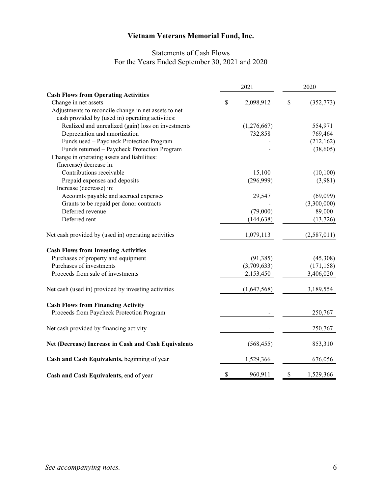# Statements of Cash Flows For the Years Ended September 30, 2021 and 2020

|                                                      | 2021            | 2020         |             |  |
|------------------------------------------------------|-----------------|--------------|-------------|--|
| <b>Cash Flows from Operating Activities</b>          |                 |              |             |  |
| Change in net assets                                 | \$<br>2,098,912 | $\mathbb{S}$ | (352, 773)  |  |
| Adjustments to reconcile change in net assets to net |                 |              |             |  |
| cash provided by (used in) operating activities:     |                 |              |             |  |
| Realized and unrealized (gain) loss on investments   | (1,276,667)     |              | 554,971     |  |
| Depreciation and amortization                        | 732,858         |              | 769,464     |  |
| Funds used - Paycheck Protection Program             |                 |              | (212, 162)  |  |
| Funds returned - Paycheck Protection Program         |                 |              | (38,605)    |  |
| Change in operating assets and liabilities:          |                 |              |             |  |
| (Increase) decrease in:                              |                 |              |             |  |
| Contributions receivable                             | 15,100          |              | (10,100)    |  |
| Prepaid expenses and deposits                        | (296,999)       |              | (3,981)     |  |
| Increase (decrease) in:                              |                 |              |             |  |
| Accounts payable and accrued expenses                | 29,547          |              | (69,099)    |  |
| Grants to be repaid per donor contracts              |                 |              | (3,300,000) |  |
| Deferred revenue                                     | (79,000)        |              | 89,000      |  |
| Deferred rent                                        | (144, 638)      |              | (13, 726)   |  |
| Net cash provided by (used in) operating activities  | 1,079,113       |              | (2,587,011) |  |
| <b>Cash Flows from Investing Activities</b>          |                 |              |             |  |
| Purchases of property and equipment                  | (91, 385)       |              | (45,308)    |  |
| Purchases of investments                             | (3,709,633)     |              | (171, 158)  |  |
| Proceeds from sale of investments                    | 2,153,450       |              | 3,406,020   |  |
| Net cash (used in) provided by investing activities  | (1,647,568)     |              | 3,189,554   |  |
| <b>Cash Flows from Financing Activity</b>            |                 |              |             |  |
| Proceeds from Paycheck Protection Program            |                 |              | 250,767     |  |
| Net cash provided by financing activity              |                 |              | 250,767     |  |
| Net (Decrease) Increase in Cash and Cash Equivalents | (568, 455)      |              | 853,310     |  |
| Cash and Cash Equivalents, beginning of year         | 1,529,366       |              | 676,056     |  |
| Cash and Cash Equivalents, end of year               | \$<br>960,911   | \$           | 1,529,366   |  |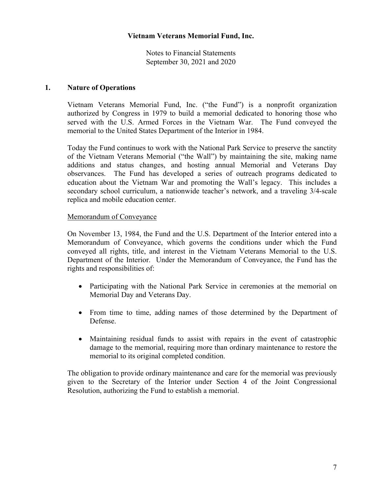Notes to Financial Statements September 30, 2021 and 2020

#### **1. Nature of Operations**

Vietnam Veterans Memorial Fund, Inc. ("the Fund") is a nonprofit organization authorized by Congress in 1979 to build a memorial dedicated to honoring those who served with the U.S. Armed Forces in the Vietnam War. The Fund conveyed the memorial to the United States Department of the Interior in 1984.

Today the Fund continues to work with the National Park Service to preserve the sanctity of the Vietnam Veterans Memorial ("the Wall") by maintaining the site, making name additions and status changes, and hosting annual Memorial and Veterans Day observances. The Fund has developed a series of outreach programs dedicated to education about the Vietnam War and promoting the Wall's legacy. This includes a secondary school curriculum, a nationwide teacher's network, and a traveling 3/4-scale replica and mobile education center.

#### Memorandum of Conveyance

On November 13, 1984, the Fund and the U.S. Department of the Interior entered into a Memorandum of Conveyance, which governs the conditions under which the Fund conveyed all rights, title, and interest in the Vietnam Veterans Memorial to the U.S. Department of the Interior. Under the Memorandum of Conveyance, the Fund has the rights and responsibilities of:

- Participating with the National Park Service in ceremonies at the memorial on Memorial Day and Veterans Day.
- From time to time, adding names of those determined by the Department of Defense.
- Maintaining residual funds to assist with repairs in the event of catastrophic damage to the memorial, requiring more than ordinary maintenance to restore the memorial to its original completed condition.

The obligation to provide ordinary maintenance and care for the memorial was previously given to the Secretary of the Interior under Section 4 of the Joint Congressional Resolution, authorizing the Fund to establish a memorial.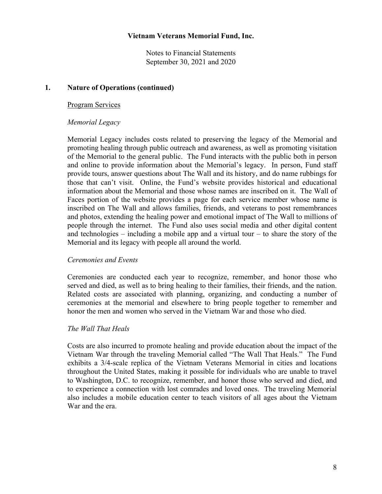Notes to Financial Statements September 30, 2021 and 2020

#### **1. Nature of Operations (continued)**

#### Program Services

#### *Memorial Legacy*

Memorial Legacy includes costs related to preserving the legacy of the Memorial and promoting healing through public outreach and awareness, as well as promoting visitation of the Memorial to the general public. The Fund interacts with the public both in person and online to provide information about the Memorial's legacy. In person, Fund staff provide tours, answer questions about The Wall and its history, and do name rubbings for those that can't visit. Online, the Fund's website provides historical and educational information about the Memorial and those whose names are inscribed on it. The Wall of Faces portion of the website provides a page for each service member whose name is inscribed on The Wall and allows families, friends, and veterans to post remembrances and photos, extending the healing power and emotional impact of The Wall to millions of people through the internet. The Fund also uses social media and other digital content and technologies – including a mobile app and a virtual tour – to share the story of the Memorial and its legacy with people all around the world.

#### *Ceremonies and Events*

Ceremonies are conducted each year to recognize, remember, and honor those who served and died, as well as to bring healing to their families, their friends, and the nation. Related costs are associated with planning, organizing, and conducting a number of ceremonies at the memorial and elsewhere to bring people together to remember and honor the men and women who served in the Vietnam War and those who died.

#### *The Wall That Heals*

Costs are also incurred to promote healing and provide education about the impact of the Vietnam War through the traveling Memorial called "The Wall That Heals." The Fund exhibits a 3/4-scale replica of the Vietnam Veterans Memorial in cities and locations throughout the United States, making it possible for individuals who are unable to travel to Washington, D.C. to recognize, remember, and honor those who served and died, and to experience a connection with lost comrades and loved ones. The traveling Memorial also includes a mobile education center to teach visitors of all ages about the Vietnam War and the era.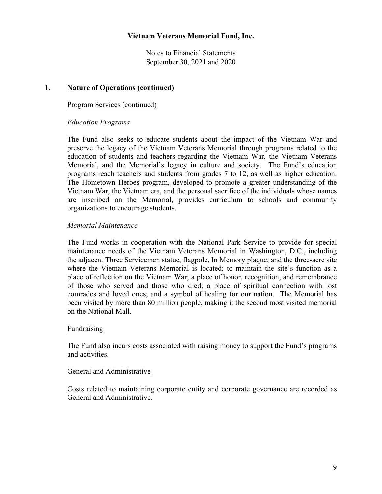Notes to Financial Statements September 30, 2021 and 2020

#### **1. Nature of Operations (continued)**

#### Program Services (continued)

# *Education Programs*

The Fund also seeks to educate students about the impact of the Vietnam War and preserve the legacy of the Vietnam Veterans Memorial through programs related to the education of students and teachers regarding the Vietnam War, the Vietnam Veterans Memorial, and the Memorial's legacy in culture and society. The Fund's education programs reach teachers and students from grades 7 to 12, as well as higher education. The Hometown Heroes program, developed to promote a greater understanding of the Vietnam War, the Vietnam era, and the personal sacrifice of the individuals whose names are inscribed on the Memorial, provides curriculum to schools and community organizations to encourage students.

#### *Memorial Maintenance*

The Fund works in cooperation with the National Park Service to provide for special maintenance needs of the Vietnam Veterans Memorial in Washington, D.C., including the adjacent Three Servicemen statue, flagpole, In Memory plaque, and the three-acre site where the Vietnam Veterans Memorial is located; to maintain the site's function as a place of reflection on the Vietnam War; a place of honor, recognition, and remembrance of those who served and those who died; a place of spiritual connection with lost comrades and loved ones; and a symbol of healing for our nation. The Memorial has been visited by more than 80 million people, making it the second most visited memorial on the National Mall.

#### Fundraising

The Fund also incurs costs associated with raising money to support the Fund's programs and activities.

#### General and Administrative

Costs related to maintaining corporate entity and corporate governance are recorded as General and Administrative.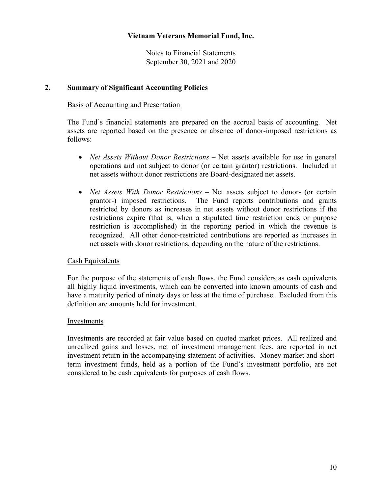Notes to Financial Statements September 30, 2021 and 2020

#### **2. Summary of Significant Accounting Policies**

#### Basis of Accounting and Presentation

The Fund's financial statements are prepared on the accrual basis of accounting. Net assets are reported based on the presence or absence of donor-imposed restrictions as follows:

- *Net Assets Without Donor Restrictions* Net assets available for use in general operations and not subject to donor (or certain grantor) restrictions. Included in net assets without donor restrictions are Board-designated net assets.
- *Net Assets With Donor Restrictions*  Net assets subject to donor- (or certain grantor-) imposed restrictions. The Fund reports contributions and grants restricted by donors as increases in net assets without donor restrictions if the restrictions expire (that is, when a stipulated time restriction ends or purpose restriction is accomplished) in the reporting period in which the revenue is recognized. All other donor-restricted contributions are reported as increases in net assets with donor restrictions, depending on the nature of the restrictions.

#### Cash Equivalents

For the purpose of the statements of cash flows, the Fund considers as cash equivalents all highly liquid investments, which can be converted into known amounts of cash and have a maturity period of ninety days or less at the time of purchase. Excluded from this definition are amounts held for investment.

#### Investments

Investments are recorded at fair value based on quoted market prices. All realized and unrealized gains and losses, net of investment management fees, are reported in net investment return in the accompanying statement of activities. Money market and shortterm investment funds, held as a portion of the Fund's investment portfolio, are not considered to be cash equivalents for purposes of cash flows.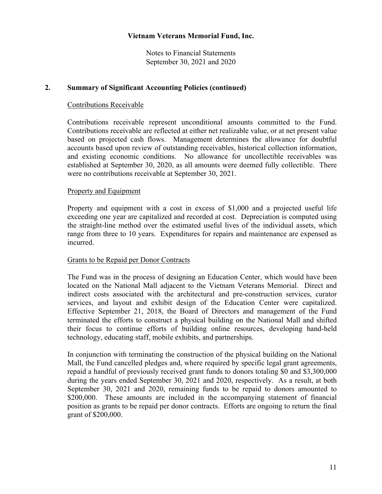Notes to Financial Statements September 30, 2021 and 2020

#### **2. Summary of Significant Accounting Policies (continued)**

#### Contributions Receivable

Contributions receivable represent unconditional amounts committed to the Fund. Contributions receivable are reflected at either net realizable value, or at net present value based on projected cash flows. Management determines the allowance for doubtful accounts based upon review of outstanding receivables, historical collection information, and existing economic conditions. No allowance for uncollectible receivables was established at September 30, 2020, as all amounts were deemed fully collectible. There were no contributions receivable at September 30, 2021.

#### Property and Equipment

Property and equipment with a cost in excess of \$1,000 and a projected useful life exceeding one year are capitalized and recorded at cost. Depreciation is computed using the straight-line method over the estimated useful lives of the individual assets, which range from three to 10 years. Expenditures for repairs and maintenance are expensed as incurred.

#### Grants to be Repaid per Donor Contracts

The Fund was in the process of designing an Education Center, which would have been located on the National Mall adjacent to the Vietnam Veterans Memorial. Direct and indirect costs associated with the architectural and pre-construction services, curator services, and layout and exhibit design of the Education Center were capitalized. Effective September 21, 2018, the Board of Directors and management of the Fund terminated the efforts to construct a physical building on the National Mall and shifted their focus to continue efforts of building online resources, developing hand-held technology, educating staff, mobile exhibits, and partnerships.

In conjunction with terminating the construction of the physical building on the National Mall, the Fund cancelled pledges and, where required by specific legal grant agreements, repaid a handful of previously received grant funds to donors totaling \$0 and \$3,300,000 during the years ended September 30, 2021 and 2020, respectively. As a result, at both September 30, 2021 and 2020, remaining funds to be repaid to donors amounted to \$200,000. These amounts are included in the accompanying statement of financial position as grants to be repaid per donor contracts. Efforts are ongoing to return the final grant of \$200,000.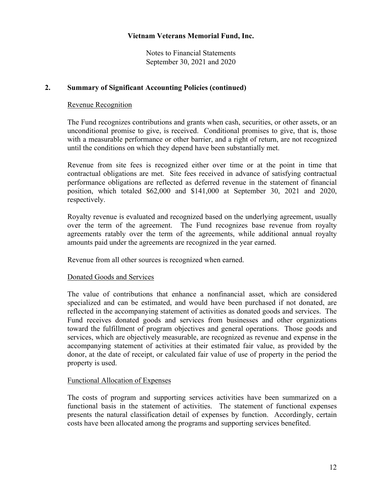Notes to Financial Statements September 30, 2021 and 2020

#### **2. Summary of Significant Accounting Policies (continued)**

#### Revenue Recognition

The Fund recognizes contributions and grants when cash, securities, or other assets, or an unconditional promise to give, is received. Conditional promises to give, that is, those with a measurable performance or other barrier, and a right of return, are not recognized until the conditions on which they depend have been substantially met.

Revenue from site fees is recognized either over time or at the point in time that contractual obligations are met. Site fees received in advance of satisfying contractual performance obligations are reflected as deferred revenue in the statement of financial position, which totaled \$62,000 and \$141,000 at September 30, 2021 and 2020, respectively.

Royalty revenue is evaluated and recognized based on the underlying agreement, usually over the term of the agreement. The Fund recognizes base revenue from royalty agreements ratably over the term of the agreements, while additional annual royalty amounts paid under the agreements are recognized in the year earned.

Revenue from all other sources is recognized when earned.

#### Donated Goods and Services

The value of contributions that enhance a nonfinancial asset, which are considered specialized and can be estimated, and would have been purchased if not donated, are reflected in the accompanying statement of activities as donated goods and services. The Fund receives donated goods and services from businesses and other organizations toward the fulfillment of program objectives and general operations. Those goods and services, which are objectively measurable, are recognized as revenue and expense in the accompanying statement of activities at their estimated fair value, as provided by the donor, at the date of receipt, or calculated fair value of use of property in the period the property is used.

#### Functional Allocation of Expenses

The costs of program and supporting services activities have been summarized on a functional basis in the statement of activities. The statement of functional expenses presents the natural classification detail of expenses by function. Accordingly, certain costs have been allocated among the programs and supporting services benefited.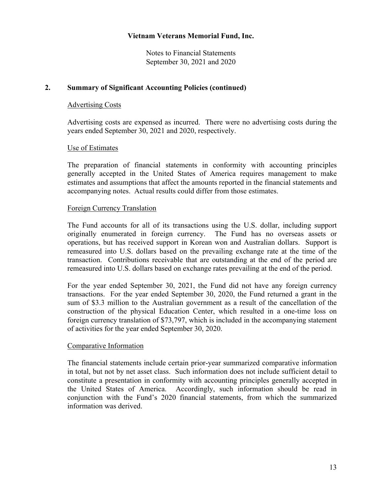Notes to Financial Statements September 30, 2021 and 2020

#### **2. Summary of Significant Accounting Policies (continued)**

#### Advertising Costs

Advertising costs are expensed as incurred. There were no advertising costs during the years ended September 30, 2021 and 2020, respectively.

#### Use of Estimates

The preparation of financial statements in conformity with accounting principles generally accepted in the United States of America requires management to make estimates and assumptions that affect the amounts reported in the financial statements and accompanying notes. Actual results could differ from those estimates.

#### Foreign Currency Translation

The Fund accounts for all of its transactions using the U.S. dollar, including support originally enumerated in foreign currency. The Fund has no overseas assets or operations, but has received support in Korean won and Australian dollars. Support is remeasured into U.S. dollars based on the prevailing exchange rate at the time of the transaction. Contributions receivable that are outstanding at the end of the period are remeasured into U.S. dollars based on exchange rates prevailing at the end of the period.

For the year ended September 30, 2021, the Fund did not have any foreign currency transactions. For the year ended September 30, 2020, the Fund returned a grant in the sum of \$3.3 million to the Australian government as a result of the cancellation of the construction of the physical Education Center, which resulted in a one-time loss on foreign currency translation of \$73,797, which is included in the accompanying statement of activities for the year ended September 30, 2020.

#### Comparative Information

The financial statements include certain prior-year summarized comparative information in total, but not by net asset class. Such information does not include sufficient detail to constitute a presentation in conformity with accounting principles generally accepted in the United States of America. Accordingly, such information should be read in conjunction with the Fund's 2020 financial statements, from which the summarized information was derived.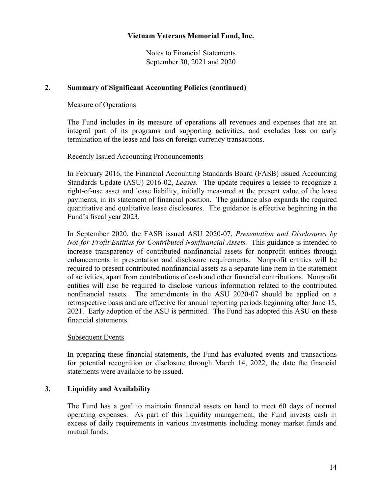Notes to Financial Statements September 30, 2021 and 2020

#### **2. Summary of Significant Accounting Policies (continued)**

#### Measure of Operations

The Fund includes in its measure of operations all revenues and expenses that are an integral part of its programs and supporting activities, and excludes loss on early termination of the lease and loss on foreign currency transactions.

#### Recently Issued Accounting Pronouncements

In February 2016, the Financial Accounting Standards Board (FASB) issued Accounting Standards Update (ASU) 2016-02, *Leases.* The update requires a lessee to recognize a right-of-use asset and lease liability, initially measured at the present value of the lease payments, in its statement of financial position. The guidance also expands the required quantitative and qualitative lease disclosures. The guidance is effective beginning in the Fund's fiscal year 2023.

In September 2020, the FASB issued ASU 2020-07, *Presentation and Disclosures by Not-for-Profit Entities for Contributed Nonfinancial Assets.* This guidance is intended to increase transparency of contributed nonfinancial assets for nonprofit entities through enhancements in presentation and disclosure requirements. Nonprofit entities will be required to present contributed nonfinancial assets as a separate line item in the statement of activities, apart from contributions of cash and other financial contributions. Nonprofit entities will also be required to disclose various information related to the contributed nonfinancial assets. The amendments in the ASU 2020-07 should be applied on a retrospective basis and are effective for annual reporting periods beginning after June 15, 2021. Early adoption of the ASU is permitted. The Fund has adopted this ASU on these financial statements.

#### Subsequent Events

In preparing these financial statements, the Fund has evaluated events and transactions for potential recognition or disclosure through March 14, 2022, the date the financial statements were available to be issued.

# **3. Liquidity and Availability**

The Fund has a goal to maintain financial assets on hand to meet 60 days of normal operating expenses. As part of this liquidity management, the Fund invests cash in excess of daily requirements in various investments including money market funds and mutual funds.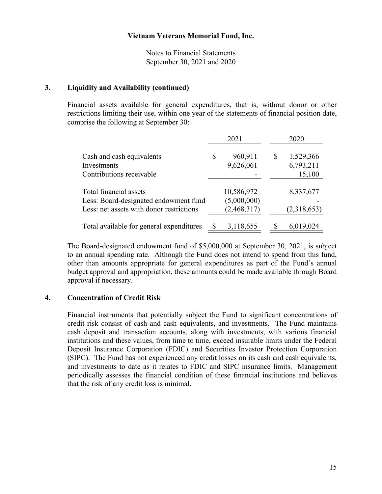Notes to Financial Statements September 30, 2021 and 2020

#### **3. Liquidity and Availability (continued)**

Financial assets available for general expenditures, that is, without donor or other restrictions limiting their use, within one year of the statements of financial position date, comprise the following at September 30:

|                                                                                                             |   | 2021                                     |    | 2020                             |
|-------------------------------------------------------------------------------------------------------------|---|------------------------------------------|----|----------------------------------|
| Cash and cash equivalents<br>Investments<br>Contributions receivable                                        | S | 960,911<br>9,626,061                     | \$ | 1,529,366<br>6,793,211<br>15,100 |
| Total financial assets<br>Less: Board-designated endowment fund<br>Less: net assets with donor restrictions |   | 10,586,972<br>(5,000,000)<br>(2,468,317) |    | 8,337,677<br>(2,318,653)         |
| Total available for general expenditures                                                                    | S | 3,118,655                                | S  | 6,019,024                        |

The Board-designated endowment fund of \$5,000,000 at September 30, 2021, is subject to an annual spending rate. Although the Fund does not intend to spend from this fund, other than amounts appropriate for general expenditures as part of the Fund's annual budget approval and appropriation, these amounts could be made available through Board approval if necessary.

#### **4. Concentration of Credit Risk**

Financial instruments that potentially subject the Fund to significant concentrations of credit risk consist of cash and cash equivalents, and investments. The Fund maintains cash deposit and transaction accounts, along with investments, with various financial institutions and these values, from time to time, exceed insurable limits under the Federal Deposit Insurance Corporation (FDIC) and Securities Investor Protection Corporation (SIPC). The Fund has not experienced any credit losses on its cash and cash equivalents, and investments to date as it relates to FDIC and SIPC insurance limits. Management periodically assesses the financial condition of these financial institutions and believes that the risk of any credit loss is minimal.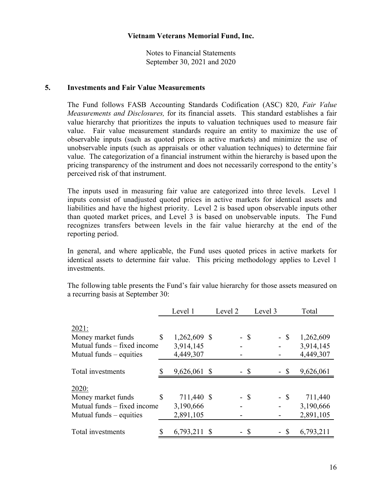Notes to Financial Statements September 30, 2021 and 2020

#### **5. Investments and Fair Value Measurements**

The Fund follows FASB Accounting Standards Codification (ASC) 820, *Fair Value Measurements and Disclosures,* for its financial assets. This standard establishes a fair value hierarchy that prioritizes the inputs to valuation techniques used to measure fair value. Fair value measurement standards require an entity to maximize the use of observable inputs (such as quoted prices in active markets) and minimize the use of unobservable inputs (such as appraisals or other valuation techniques) to determine fair value. The categorization of a financial instrument within the hierarchy is based upon the pricing transparency of the instrument and does not necessarily correspond to the entity's perceived risk of that instrument.

The inputs used in measuring fair value are categorized into three levels. Level 1 inputs consist of unadjusted quoted prices in active markets for identical assets and liabilities and have the highest priority. Level 2 is based upon observable inputs other than quoted market prices, and Level 3 is based on unobservable inputs. The Fund recognizes transfers between levels in the fair value hierarchy at the end of the reporting period.

In general, and where applicable, the Fund uses quoted prices in active markets for identical assets to determine fair value. This pricing methodology applies to Level 1 investments.

The following table presents the Fund's fair value hierarchy for those assets measured on a recurring basis at September 30:

|                             | Level 1            | Level 2 |        | Level 3 | Total     |
|-----------------------------|--------------------|---------|--------|---------|-----------|
| 2021:                       |                    |         |        |         |           |
| Money market funds          | \$<br>1,262,609 \$ |         | $-$ \$ | $-$ \$  | 1,262,609 |
| Mutual funds – fixed income | 3,914,145          |         |        |         | 3,914,145 |
| Mutual funds $-$ equities   | 4,449,307          |         |        |         | 4,449,307 |
|                             |                    |         |        |         |           |
| Total investments           | 9,626,061 \$       |         | - \$   | - \$    | 9,626,061 |
| 2020:                       |                    |         |        |         |           |
| Money market funds          | \$<br>711,440 \$   |         | - \$   | - \$    | 711,440   |
| Mutual funds – fixed income | 3,190,666          |         |        |         | 3,190,666 |
| Mutual funds $-$ equities   | 2,891,105          |         |        |         | 2,891,105 |
| Total investments           | 6,793,211 \$       |         | - \$   | - \$    | 6,793,211 |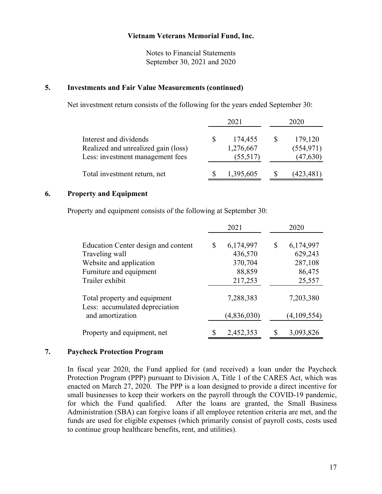Notes to Financial Statements September 30, 2021 and 2020

#### **5. Investments and Fair Value Measurements (continued)**

Net investment return consists of the following for the years ended September 30:

|                                                                                                   | 2021                             | 2020 |                                    |  |
|---------------------------------------------------------------------------------------------------|----------------------------------|------|------------------------------------|--|
| Interest and dividends<br>Realized and unrealized gain (loss)<br>Less: investment management fees | 174,455<br>1,276,667<br>(55,517) | S    | 179,120<br>(554, 971)<br>(47, 630) |  |
| Total investment return, net                                                                      | 1,395,605                        |      | (423, 481)                         |  |

#### **6. Property and Equipment**

Property and equipment consists of the following at September 30:

|                                                                | 2021            | 2020            |
|----------------------------------------------------------------|-----------------|-----------------|
| Education Center design and content                            | \$<br>6,174,997 | \$<br>6,174,997 |
| Traveling wall                                                 | 436,570         | 629,243         |
| Website and application                                        | 370,704         | 287,108         |
| Furniture and equipment                                        | 88,859          | 86,475          |
| Trailer exhibit                                                | 217,253         | 25,557          |
| Total property and equipment<br>Less: accumulated depreciation | 7,288,383       | 7,203,380       |
| and amortization                                               | (4,836,030)     | (4,109,554)     |
| Property and equipment, net                                    | 2,452,353       | 3,093,826       |

#### **7. Paycheck Protection Program**

In fiscal year 2020, the Fund applied for (and received) a loan under the Paycheck Protection Program (PPP) pursuant to Division A, Title 1 of the CARES Act, which was enacted on March 27, 2020. The PPP is a loan designed to provide a direct incentive for small businesses to keep their workers on the payroll through the COVID-19 pandemic, for which the Fund qualified. After the loans are granted, the Small Business Administration (SBA) can forgive loans if all employee retention criteria are met, and the funds are used for eligible expenses (which primarily consist of payroll costs, costs used to continue group healthcare benefits, rent, and utilities).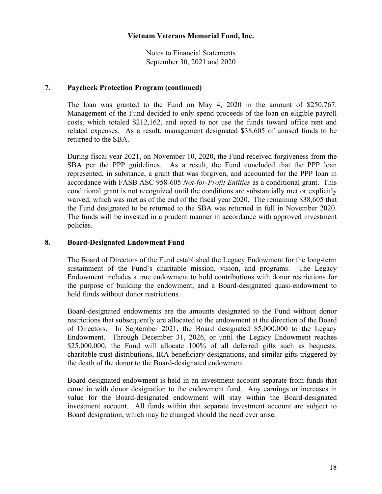Notes to Financial Statements September 30, 2021 and 2020

#### **7. Paycheck Protection Program (continued)**

The loan was granted to the Fund on May 4, 2020 in the amount of \$250,767. Management of the Fund decided to only spend proceeds of the loan on eligible payroll costs, which totaled \$212,162, and opted to not use the funds toward office rent and related expenses. As a result, management designated \$38,605 of unused funds to be returned to the SBA.

During fiscal year 2021, on November 10, 2020, the Fund received forgiveness from the SBA per the PPP guidelines. As a result, the Fund concluded that the PPP loan represented, in substance, a grant that was forgiven, and accounted for the PPP loan in accordance with FASB ASC 958-605 *Not-for-Profit Entities* as a conditional grant. This conditional grant is not recognized until the conditions are substantially met or explicitly waived, which was met as of the end of the fiscal year 2020. The remaining \$38,605 that the Fund designated to be returned to the SBA was returned in full in November 2020. The funds will be invested in a prudent manner in accordance with approved investment policies.

#### **8. Board-Designated Endowment Fund**

The Board of Directors of the Fund established the Legacy Endowment for the long-term sustainment of the Fund's charitable mission, vision, and programs. The Legacy Endowment includes a true endowment to hold contributions with donor restrictions for the purpose of building the endowment, and a Board-designated quasi-endowment to hold funds without donor restrictions.

Board-designated endowments are the amounts designated to the Fund without donor restrictions that subsequently are allocated to the endowment at the direction of the Board of Directors. In September 2021, the Board designated \$5,000,000 to the Legacy Endowment. Through December 31, 2026, or until the Legacy Endowment reaches \$25,000,000, the Fund will allocate 100% of all deferred gifts such as bequests, charitable trust distributions, IRA beneficiary designations, and similar gifts triggered by the death of the donor to the Board-designated endowment.

Board-designated endowment is held in an investment account separate from funds that come in with donor designation to the endowment fund. Any earnings or increases in value for the Board-designated endowment will stay within the Board-designated investment account. All funds within that separate investment account are subject to Board designation, which may be changed should the need ever arise.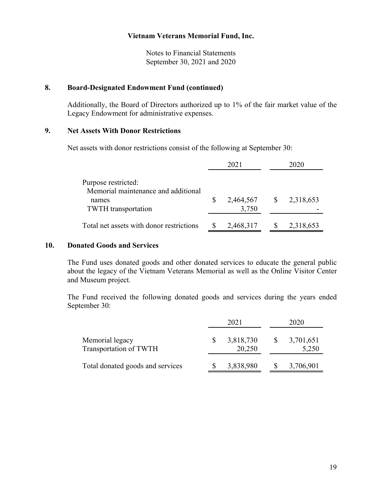Notes to Financial Statements September 30, 2021 and 2020

#### **8. Board-Designated Endowment Fund (continued)**

Additionally, the Board of Directors authorized up to 1% of the fair market value of the Legacy Endowment for administrative expenses.

# **9. Net Assets With Donor Restrictions**

Net assets with donor restrictions consist of the following at September 30:

|                                                                                                   | 2021                  | 2020      |
|---------------------------------------------------------------------------------------------------|-----------------------|-----------|
| Purpose restricted:<br>Memorial maintenance and additional<br>names<br><b>TWTH</b> transportation | 2,464,567 \$<br>3,750 | 2,318,653 |
| Total net assets with donor restrictions                                                          | 2,468,317             | 2,318,653 |

#### **10. Donated Goods and Services**

The Fund uses donated goods and other donated services to educate the general public about the legacy of the Vietnam Veterans Memorial as well as the Online Visitor Center and Museum project.

The Fund received the following donated goods and services during the years ended September 30:

|                                           | 2021                |              | 2020               |
|-------------------------------------------|---------------------|--------------|--------------------|
| Memorial legacy<br>Transportation of TWTH | 3,818,730<br>20,250 | $\mathbb{S}$ | 3,701,651<br>5,250 |
| Total donated goods and services          | 3,838,980           |              | 3,706,901          |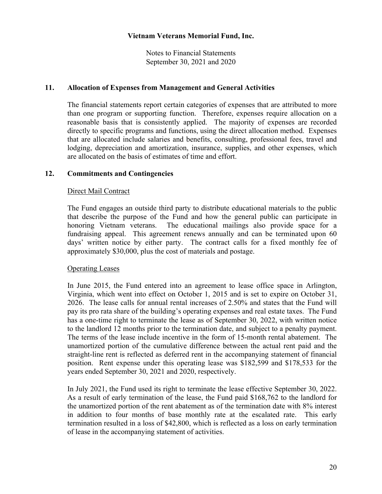Notes to Financial Statements September 30, 2021 and 2020

#### **11. Allocation of Expenses from Management and General Activities**

The financial statements report certain categories of expenses that are attributed to more than one program or supporting function. Therefore, expenses require allocation on a reasonable basis that is consistently applied. The majority of expenses are recorded directly to specific programs and functions, using the direct allocation method. Expenses that are allocated include salaries and benefits, consulting, professional fees, travel and lodging, depreciation and amortization, insurance, supplies, and other expenses, which are allocated on the basis of estimates of time and effort.

# **12. Commitments and Contingencies**

#### Direct Mail Contract

The Fund engages an outside third party to distribute educational materials to the public that describe the purpose of the Fund and how the general public can participate in honoring Vietnam veterans. The educational mailings also provide space for a fundraising appeal. This agreement renews annually and can be terminated upon 60 days' written notice by either party. The contract calls for a fixed monthly fee of approximately \$30,000, plus the cost of materials and postage.

#### Operating Leases

In June 2015, the Fund entered into an agreement to lease office space in Arlington, Virginia, which went into effect on October 1, 2015 and is set to expire on October 31, 2026. The lease calls for annual rental increases of 2.50% and states that the Fund will pay its pro rata share of the building's operating expenses and real estate taxes. The Fund has a one-time right to terminate the lease as of September 30, 2022, with written notice to the landlord 12 months prior to the termination date, and subject to a penalty payment. The terms of the lease include incentive in the form of 15-month rental abatement. The unamortized portion of the cumulative difference between the actual rent paid and the straight-line rent is reflected as deferred rent in the accompanying statement of financial position. Rent expense under this operating lease was \$182,599 and \$178,533 for the years ended September 30, 2021 and 2020, respectively.

In July 2021, the Fund used its right to terminate the lease effective September 30, 2022. As a result of early termination of the lease, the Fund paid \$168,762 to the landlord for the unamortized portion of the rent abatement as of the termination date with 8% interest in addition to four months of base monthly rate at the escalated rate. This early termination resulted in a loss of \$42,800, which is reflected as a loss on early termination of lease in the accompanying statement of activities.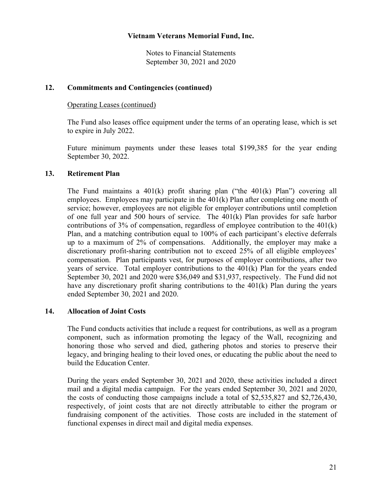Notes to Financial Statements September 30, 2021 and 2020

#### **12. Commitments and Contingencies (continued)**

#### Operating Leases (continued)

The Fund also leases office equipment under the terms of an operating lease, which is set to expire in July 2022.

Future minimum payments under these leases total \$199,385 for the year ending September 30, 2022.

# **13. Retirement Plan**

The Fund maintains a 401(k) profit sharing plan ("the 401(k) Plan") covering all employees. Employees may participate in the 401(k) Plan after completing one month of service; however, employees are not eligible for employer contributions until completion of one full year and 500 hours of service. The 401(k) Plan provides for safe harbor contributions of 3% of compensation, regardless of employee contribution to the 401(k) Plan, and a matching contribution equal to 100% of each participant's elective deferrals up to a maximum of 2% of compensations. Additionally, the employer may make a discretionary profit-sharing contribution not to exceed 25% of all eligible employees' compensation. Plan participants vest, for purposes of employer contributions, after two years of service. Total employer contributions to the 401(k) Plan for the years ended September 30, 2021 and 2020 were \$36,049 and \$31,937, respectively. The Fund did not have any discretionary profit sharing contributions to the 401(k) Plan during the years ended September 30, 2021 and 2020.

# **14. Allocation of Joint Costs**

The Fund conducts activities that include a request for contributions, as well as a program component, such as information promoting the legacy of the Wall, recognizing and honoring those who served and died, gathering photos and stories to preserve their legacy, and bringing healing to their loved ones, or educating the public about the need to build the Education Center.

During the years ended September 30, 2021 and 2020, these activities included a direct mail and a digital media campaign. For the years ended September 30, 2021 and 2020, the costs of conducting those campaigns include a total of \$2,535,827 and \$2,726,430, respectively, of joint costs that are not directly attributable to either the program or fundraising component of the activities. Those costs are included in the statement of functional expenses in direct mail and digital media expenses.